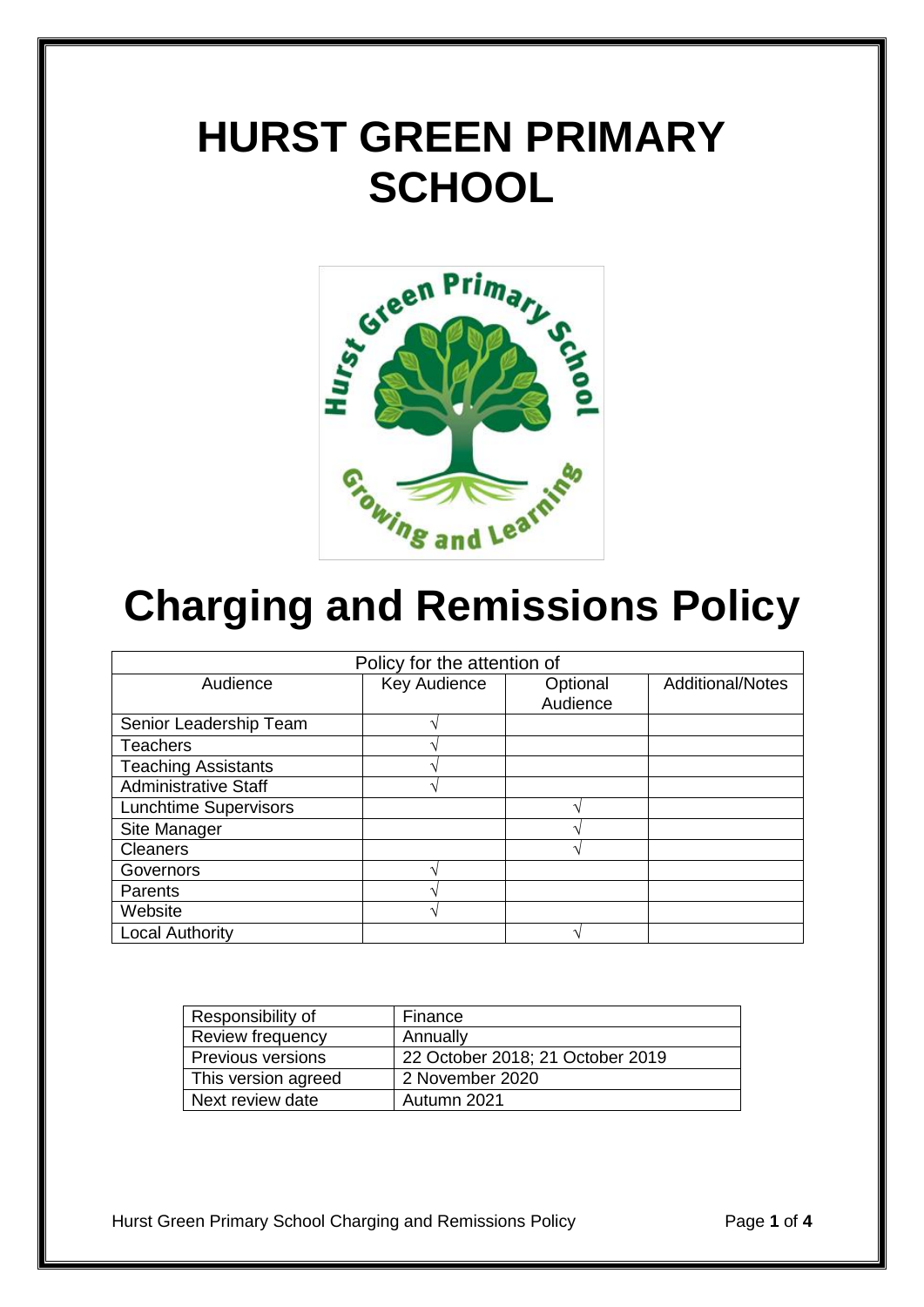## **HURST GREEN PRIMARY SCHOOL**



# **Charging and Remissions Policy**

| Policy for the attention of  |              |                      |                         |
|------------------------------|--------------|----------------------|-------------------------|
| Audience                     | Key Audience | Optional<br>Audience | <b>Additional/Notes</b> |
|                              |              |                      |                         |
| Senior Leadership Team       |              |                      |                         |
| <b>Teachers</b>              |              |                      |                         |
| <b>Teaching Assistants</b>   |              |                      |                         |
| <b>Administrative Staff</b>  |              |                      |                         |
| <b>Lunchtime Supervisors</b> |              |                      |                         |
| Site Manager                 |              |                      |                         |
| <b>Cleaners</b>              |              |                      |                         |
| Governors                    |              |                      |                         |
| <b>Parents</b>               |              |                      |                         |
| Website                      | ́            |                      |                         |
| <b>Local Authority</b>       |              |                      |                         |

| Responsibility of   | Finance                          |
|---------------------|----------------------------------|
| Review frequency    | Annually                         |
| Previous versions   | 22 October 2018; 21 October 2019 |
| This version agreed | 2 November 2020                  |
| Next review date    | Autumn 2021                      |

Hurst Green Primary School Charging and Remissions Policy Page **1** of **4**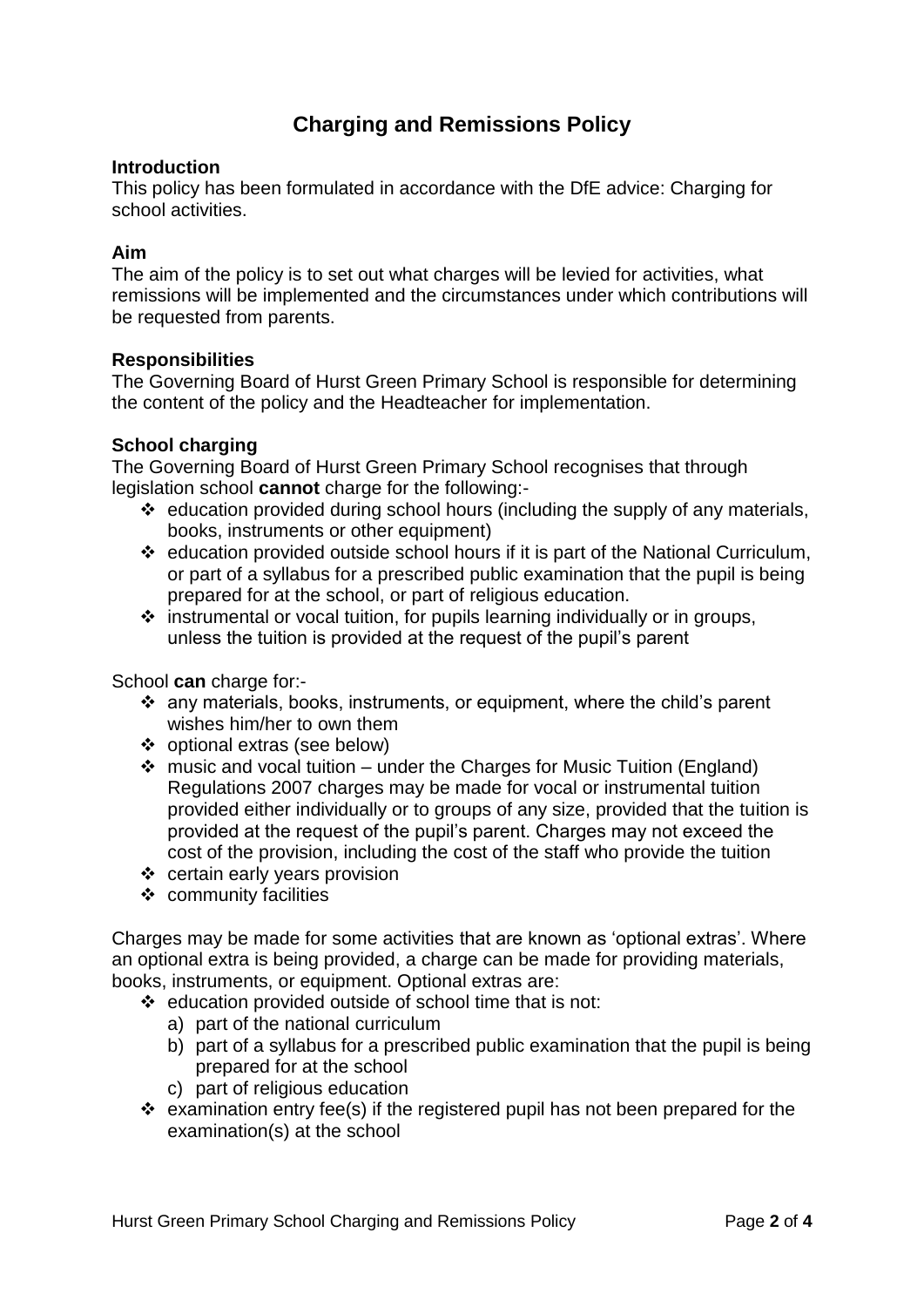### **Charging and Remissions Policy**

#### **Introduction**

This policy has been formulated in accordance with the DfE advice: Charging for school activities.

#### **Aim**

The aim of the policy is to set out what charges will be levied for activities, what remissions will be implemented and the circumstances under which contributions will be requested from parents.

#### **Responsibilities**

The Governing Board of Hurst Green Primary School is responsible for determining the content of the policy and the Headteacher for implementation.

#### **School charging**

The Governing Board of Hurst Green Primary School recognises that through legislation school **cannot** charge for the following:-

- $\triangleleft$  education provided during school hours (including the supply of any materials, books, instruments or other equipment)
- education provided outside school hours if it is part of the National Curriculum, or part of a syllabus for a prescribed public examination that the pupil is being prepared for at the school, or part of religious education.
- $\cdot$  instrumental or vocal tuition, for pupils learning individually or in groups, unless the tuition is provided at the request of the pupil's parent

School **can** charge for:-

- any materials, books, instruments, or equipment, where the child's parent wishes him/her to own them
- optional extras (see below)
- $\cdot$  music and vocal tuition under the Charges for Music Tuition (England) Regulations 2007 charges may be made for vocal or instrumental tuition provided either individually or to groups of any size, provided that the tuition is provided at the request of the pupil's parent. Charges may not exceed the cost of the provision, including the cost of the staff who provide the tuition
- ❖ certain early years provision
- $\div$  community facilities

Charges may be made for some activities that are known as 'optional extras'. Where an optional extra is being provided, a charge can be made for providing materials, books, instruments, or equipment. Optional extras are:

- education provided outside of school time that is not:
	- a) part of the national curriculum
	- b) part of a syllabus for a prescribed public examination that the pupil is being prepared for at the school
	- c) part of religious education
- $\div$  examination entry fee(s) if the registered pupil has not been prepared for the examination(s) at the school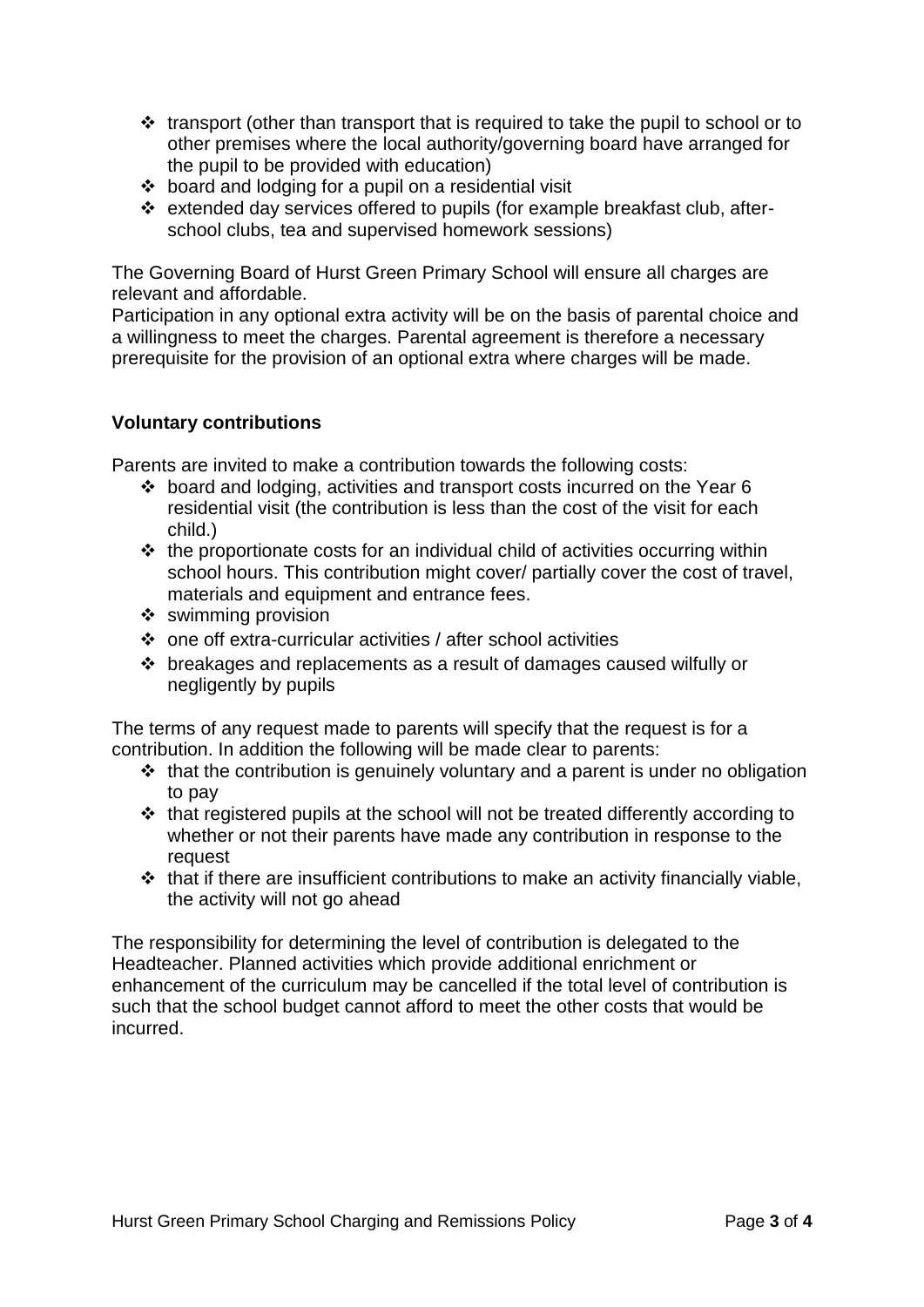- $\cdot$  transport (other than transport that is required to take the pupil to school or to other premises where the local authority/governing board have arranged for the pupil to be provided with education)
- $\div$  board and lodging for a pupil on a residential visit
- extended day services offered to pupils (for example breakfast club, afterschool clubs, tea and supervised homework sessions)

The Governing Board of Hurst Green Primary School will ensure all charges are relevant and affordable.

Participation in any optional extra activity will be on the basis of parental choice and a willingness to meet the charges. Parental agreement is therefore a necessary prerequisite for the provision of an optional extra where charges will be made.

#### **Voluntary contributions**

Parents are invited to make a contribution towards the following costs:

- board and lodging, activities and transport costs incurred on the Year 6 residential visit (the contribution is less than the cost of the visit for each child.)
- $\cdot \cdot$  the proportionate costs for an individual child of activities occurring within school hours. This contribution might cover/ partially cover the cost of travel, materials and equipment and entrance fees.
- $\div$  swimming provision
- one off extra-curricular activities / after school activities
- breakages and replacements as a result of damages caused wilfully or negligently by pupils

The terms of any request made to parents will specify that the request is for a contribution. In addition the following will be made clear to parents:

- $\cdot$  that the contribution is genuinely voluntary and a parent is under no obligation to pay
- $\triangle$  that registered pupils at the school will not be treated differently according to whether or not their parents have made any contribution in response to the request
- $\triangle$  that if there are insufficient contributions to make an activity financially viable, the activity will not go ahead

The responsibility for determining the level of contribution is delegated to the Headteacher. Planned activities which provide additional enrichment or enhancement of the curriculum may be cancelled if the total level of contribution is such that the school budget cannot afford to meet the other costs that would be incurred.